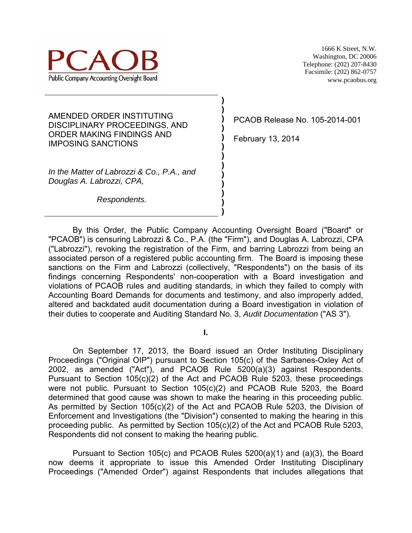

1666 K Street, N.W. Washington, DC 20006 Telephone: (202) 207-8430 Facsimile: (202) 862-0757 www.pcaobus.org

AMENDED ORDER INSTITUTING DISCIPLINARY PROCEEDINGS, AND ORDER MAKING FINDINGS AND IMPOSING SANCTIONS

*In the Matter of Labrozzi & Co., P.A., and Douglas A. Labrozzi, CPA,*

 *Respondents.*

PCAOB Release No. 105-2014-001

February 13, 2014

**) ) ) ) ) ) ) ) ) ) ) ) )** 

By this Order, the Public Company Accounting Oversight Board ("Board" or "PCAOB") is censuring Labrozzi & Co., P.A. (the "Firm"), and Douglas A. Labrozzi, CPA ("Labrozzi"), revoking the registration of the Firm, and barring Labrozzi from being an associated person of a registered public accounting firm. The Board is imposing these sanctions on the Firm and Labrozzi (collectively, "Respondents") on the basis of its findings concerning Respondents' non-cooperation with a Board investigation and violations of PCAOB rules and auditing standards, in which they failed to comply with Accounting Board Demands for documents and testimony, and also improperly added, altered and backdated audit documentation during a Board investigation in violation of their duties to cooperate and Auditing Standard No. 3, *Audit Documentation* ("AS 3").

**I.** 

On September 17, 2013, the Board issued an Order Instituting Disciplinary Proceedings ("Original OIP") pursuant to Section 105(c) of the Sarbanes-Oxley Act of 2002, as amended ("Act"), and PCAOB Rule 5200(a)(3) against Respondents. Pursuant to Section 105(c)(2) of the Act and PCAOB Rule 5203, these proceedings were not public. Pursuant to Section 105(c)(2) and PCAOB Rule 5203, the Board determined that good cause was shown to make the hearing in this proceeding public. As permitted by Section 105(c)(2) of the Act and PCAOB Rule 5203, the Division of Enforcement and Investigations (the "Division") consented to making the hearing in this proceeding public. As permitted by Section 105(c)(2) of the Act and PCAOB Rule 5203, Respondents did not consent to making the hearing public.

Pursuant to Section 105(c) and PCAOB Rules 5200(a)(1) and (a)(3), the Board now deems it appropriate to issue this Amended Order Instituting Disciplinary Proceedings ("Amended Order") against Respondents that includes allegations that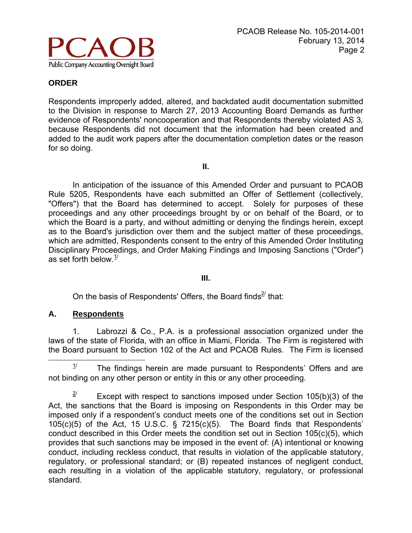

Respondents improperly added, altered, and backdated audit documentation submitted to the Division in response to March 27, 2013 Accounting Board Demands as further evidence of Respondents' noncooperation and that Respondents thereby violated AS 3*,* because Respondents did not document that the information had been created and added to the audit work papers after the documentation completion dates or the reason for so doing.

**II.** 

In anticipation of the issuance of this Amended Order and pursuant to PCAOB Rule 5205, Respondents have each submitted an Offer of Settlement (collectively, "Offers") that the Board has determined to accept. Solely for purposes of these proceedings and any other proceedings brought by or on behalf of the Board, or to which the Board is a party, and without admitting or denying the findings herein, except as to the Board's jurisdiction over them and the subject matter of these proceedings, which are admitted, Respondents consent to the entry of this Amended Order Instituting Disciplinary Proceedings, and Order Making Findings and Imposing Sanctions ("Order") as set forth below. $1/2$ 

#### **III.**

On the basis of Respondents' Offers, the Board finds $2/$  that:

#### **A. Respondents**

1. Labrozzi & Co., P.A. is a professional association organized under the laws of the state of Florida, with an office in Miami, Florida. The Firm is registered with the Board pursuant to Section 102 of the Act and PCAOB Rules. The Firm is licensed

 $1/$  The findings herein are made pursuant to Respondents' Offers and are not binding on any other person or entity in this or any other proceeding.

 $2^{\prime}$  Except with respect to sanctions imposed under Section 105(b)(3) of the Act, the sanctions that the Board is imposing on Respondents in this Order may be imposed only if a respondent's conduct meets one of the conditions set out in Section 105(c)(5) of the Act, 15 U.S.C. § 7215(c)(5). The Board finds that Respondents' conduct described in this Order meets the condition set out in Section 105(c)(5), which provides that such sanctions may be imposed in the event of: (A) intentional or knowing conduct, including reckless conduct, that results in violation of the applicable statutory, regulatory, or professional standard; or (B) repeated instances of negligent conduct, each resulting in a violation of the applicable statutory, regulatory, or professional standard.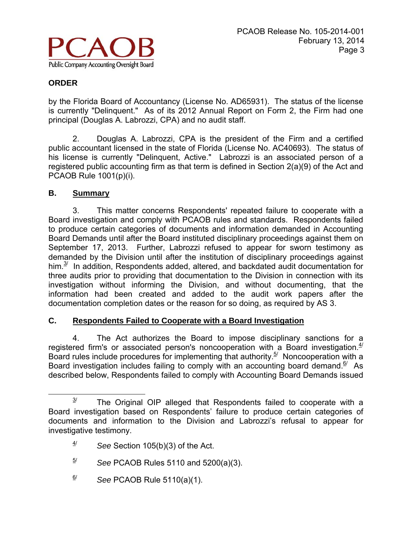

by the Florida Board of Accountancy (License No. AD65931). The status of the license is currently "Delinquent." As of its 2012 Annual Report on Form 2, the Firm had one principal (Douglas A. Labrozzi, CPA) and no audit staff.

2. Douglas A. Labrozzi, CPA is the president of the Firm and a certified public accountant licensed in the state of Florida (License No. AC40693). The status of his license is currently "Delinquent, Active." Labrozzi is an associated person of a registered public accounting firm as that term is defined in Section 2(a)(9) of the Act and PCAOB Rule 1001(p)(i).

## **B. Summary**

3. This matter concerns Respondents' repeated failure to cooperate with a Board investigation and comply with PCAOB rules and standards. Respondents failed to produce certain categories of documents and information demanded in Accounting Board Demands until after the Board instituted disciplinary proceedings against them on September 17, 2013. Further, Labrozzi refused to appear for sworn testimony as demanded by the Division until after the institution of disciplinary proceedings against him. $3<sup>2</sup>$  In addition, Respondents added, altered, and backdated audit documentation for three audits prior to providing that documentation to the Division in connection with its investigation without informing the Division, and without documenting, that the information had been created and added to the audit work papers after the documentation completion dates or the reason for so doing, as required by AS 3.

## **C. Respondents Failed to Cooperate with a Board Investigation**

4. The Act authorizes the Board to impose disciplinary sanctions for a registered firm's or associated person's noncooperation with a Board investigation. $4/$ Board rules include procedures for implementing that authority.<sup>5/</sup> Noncooperation with a Board investigation includes failing to comply with an accounting board demand.<sup>6/</sup> As described below, Respondents failed to comply with Accounting Board Demands issued

- $\frac{5}{10}$  See PCAOB Rules 5110 and 5200(a)(3).
- $\frac{6}{}{}$  See PCAOB Rule 5110(a)(1).

 $3<sup>j</sup>$  The Original OIP alleged that Respondents failed to cooperate with a Board investigation based on Respondents' failure to produce certain categories of documents and information to the Division and Labrozzi's refusal to appear for investigative testimony.

 $4/$  *See* Section 105(b)(3) of the Act.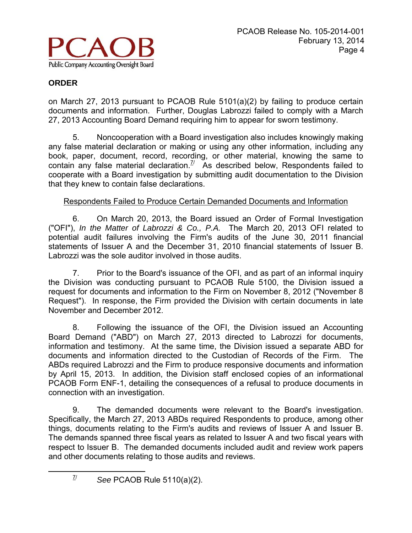

on March 27, 2013 pursuant to PCAOB Rule 5101(a)(2) by failing to produce certain documents and information. Further, Douglas Labrozzi failed to comply with a March 27, 2013 Accounting Board Demand requiring him to appear for sworn testimony.

5. Noncooperation with a Board investigation also includes knowingly making any false material declaration or making or using any other information, including any book, paper, document, record, recording, or other material, knowing the same to contain any false material declaration.<sup> $7/2$ </sup> As described below, Respondents failed to cooperate with a Board investigation by submitting audit documentation to the Division that they knew to contain false declarations.

## Respondents Failed to Produce Certain Demanded Documents and Information

6. On March 20, 2013, the Board issued an Order of Formal Investigation ("OFI"), *In the Matter of Labrozzi & Co., P.A.* The March 20, 2013 OFI related to potential audit failures involving the Firm's audits of the June 30, 2011 financial statements of Issuer A and the December 31, 2010 financial statements of Issuer B. Labrozzi was the sole auditor involved in those audits.

7. Prior to the Board's issuance of the OFI, and as part of an informal inquiry the Division was conducting pursuant to PCAOB Rule 5100, the Division issued a request for documents and information to the Firm on November 8, 2012 ("November 8 Request"). In response, the Firm provided the Division with certain documents in late November and December 2012.

8. Following the issuance of the OFI, the Division issued an Accounting Board Demand ("ABD") on March 27, 2013 directed to Labrozzi for documents, information and testimony. At the same time, the Division issued a separate ABD for documents and information directed to the Custodian of Records of the Firm. The ABDs required Labrozzi and the Firm to produce responsive documents and information by April 15, 2013. In addition, the Division staff enclosed copies of an informational PCAOB Form ENF-1, detailing the consequences of a refusal to produce documents in connection with an investigation.

9. The demanded documents were relevant to the Board's investigation. Specifically, the March 27, 2013 ABDs required Respondents to produce, among other things, documents relating to the Firm's audits and reviews of Issuer A and Issuer B. The demands spanned three fiscal years as related to Issuer A and two fiscal years with respect to Issuer B. The demanded documents included audit and review work papers and other documents relating to those audits and reviews.

 $\frac{7}{1}$  See PCAOB Rule 5110(a)(2).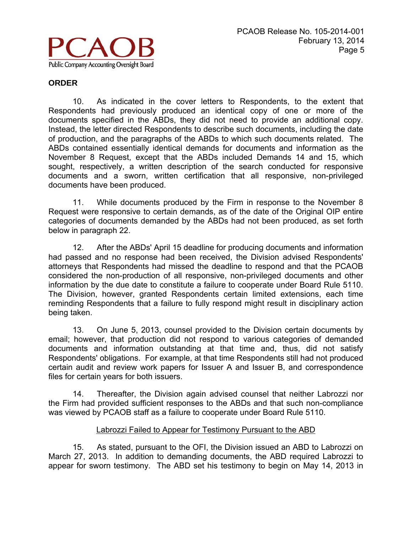

10. As indicated in the cover letters to Respondents, to the extent that Respondents had previously produced an identical copy of one or more of the documents specified in the ABDs, they did not need to provide an additional copy. Instead, the letter directed Respondents to describe such documents, including the date of production, and the paragraphs of the ABDs to which such documents related. The ABDs contained essentially identical demands for documents and information as the November 8 Request, except that the ABDs included Demands 14 and 15, which sought, respectively, a written description of the search conducted for responsive documents and a sworn, written certification that all responsive, non-privileged documents have been produced.

11. While documents produced by the Firm in response to the November 8 Request were responsive to certain demands, as of the date of the Original OIP entire categories of documents demanded by the ABDs had not been produced, as set forth below in paragraph 22.

12. After the ABDs' April 15 deadline for producing documents and information had passed and no response had been received, the Division advised Respondents' attorneys that Respondents had missed the deadline to respond and that the PCAOB considered the non-production of all responsive, non-privileged documents and other information by the due date to constitute a failure to cooperate under Board Rule 5110. The Division, however, granted Respondents certain limited extensions, each time reminding Respondents that a failure to fully respond might result in disciplinary action being taken.

13. On June 5, 2013, counsel provided to the Division certain documents by email; however, that production did not respond to various categories of demanded documents and information outstanding at that time and, thus, did not satisfy Respondents' obligations. For example, at that time Respondents still had not produced certain audit and review work papers for Issuer A and Issuer B, and correspondence files for certain years for both issuers.

14. Thereafter, the Division again advised counsel that neither Labrozzi nor the Firm had provided sufficient responses to the ABDs and that such non-compliance was viewed by PCAOB staff as a failure to cooperate under Board Rule 5110.

#### Labrozzi Failed to Appear for Testimony Pursuant to the ABD

15. As stated, pursuant to the OFI, the Division issued an ABD to Labrozzi on March 27, 2013. In addition to demanding documents, the ABD required Labrozzi to appear for sworn testimony. The ABD set his testimony to begin on May 14, 2013 in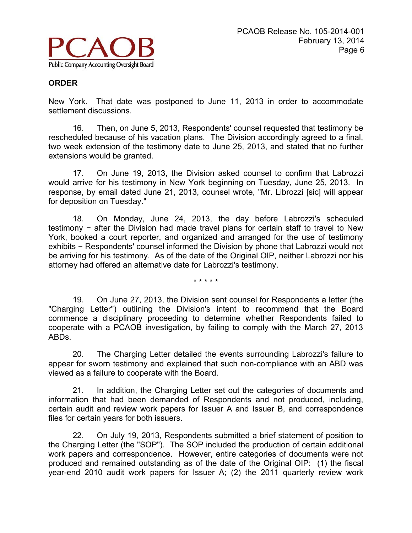

New York. That date was postponed to June 11, 2013 in order to accommodate settlement discussions.

16. Then, on June 5, 2013, Respondents' counsel requested that testimony be rescheduled because of his vacation plans. The Division accordingly agreed to a final, two week extension of the testimony date to June 25, 2013, and stated that no further extensions would be granted.

17. On June 19, 2013, the Division asked counsel to confirm that Labrozzi would arrive for his testimony in New York beginning on Tuesday, June 25, 2013. In response, by email dated June 21, 2013, counsel wrote, "Mr. Librozzi [sic] will appear for deposition on Tuesday."

18. On Monday, June 24, 2013, the day before Labrozzi's scheduled testimony − after the Division had made travel plans for certain staff to travel to New York, booked a court reporter, and organized and arranged for the use of testimony exhibits − Respondents' counsel informed the Division by phone that Labrozzi would not be arriving for his testimony. As of the date of the Original OIP, neither Labrozzi nor his attorney had offered an alternative date for Labrozzi's testimony.

\* \* \* \* \*

19. On June 27, 2013, the Division sent counsel for Respondents a letter (the "Charging Letter") outlining the Division's intent to recommend that the Board commence a disciplinary proceeding to determine whether Respondents failed to cooperate with a PCAOB investigation, by failing to comply with the March 27, 2013 ABDs.

20. The Charging Letter detailed the events surrounding Labrozzi's failure to appear for sworn testimony and explained that such non-compliance with an ABD was viewed as a failure to cooperate with the Board.

21. In addition, the Charging Letter set out the categories of documents and information that had been demanded of Respondents and not produced, including, certain audit and review work papers for Issuer A and Issuer B, and correspondence files for certain years for both issuers.

22. On July 19, 2013, Respondents submitted a brief statement of position to the Charging Letter (the "SOP"). The SOP included the production of certain additional work papers and correspondence. However, entire categories of documents were not produced and remained outstanding as of the date of the Original OIP: (1) the fiscal year-end 2010 audit work papers for Issuer A; (2) the 2011 quarterly review work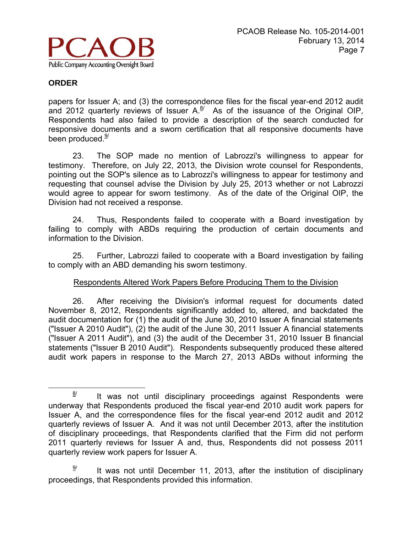

papers for Issuer A; and (3) the correspondence files for the fiscal year-end 2012 audit and 2012 quarterly reviews of Issuer  $A^{8/2}$  As of the issuance of the Original OIP, Respondents had also failed to provide a description of the search conducted for responsive documents and a sworn certification that all responsive documents have been produced. $9/$ 

23. The SOP made no mention of Labrozzi's willingness to appear for testimony. Therefore, on July 22, 2013, the Division wrote counsel for Respondents, pointing out the SOP's silence as to Labrozzi's willingness to appear for testimony and requesting that counsel advise the Division by July 25, 2013 whether or not Labrozzi would agree to appear for sworn testimony. As of the date of the Original OIP, the Division had not received a response.

24. Thus, Respondents failed to cooperate with a Board investigation by failing to comply with ABDs requiring the production of certain documents and information to the Division.

25. Further, Labrozzi failed to cooperate with a Board investigation by failing to comply with an ABD demanding his sworn testimony.

## Respondents Altered Work Papers Before Producing Them to the Division

26. After receiving the Division's informal request for documents dated November 8, 2012, Respondents significantly added to, altered, and backdated the audit documentation for (1) the audit of the June 30, 2010 Issuer A financial statements ("Issuer A 2010 Audit"), (2) the audit of the June 30, 2011 Issuer A financial statements ("Issuer A 2011 Audit"), and (3) the audit of the December 31, 2010 Issuer B financial statements ("Issuer B 2010 Audit"). Respondents subsequently produced these altered audit work papers in response to the March 27, 2013 ABDs without informing the

 $\frac{8}{1}$  It was not until disciplinary proceedings against Respondents were underway that Respondents produced the fiscal year-end 2010 audit work papers for Issuer A, and the correspondence files for the fiscal year-end 2012 audit and 2012 quarterly reviews of Issuer A. And it was not until December 2013, after the institution of disciplinary proceedings, that Respondents clarified that the Firm did not perform 2011 quarterly reviews for Issuer A and, thus, Respondents did not possess 2011 quarterly review work papers for Issuer A.

 $\frac{9}{2}$  It was not until December 11, 2013, after the institution of disciplinary proceedings, that Respondents provided this information.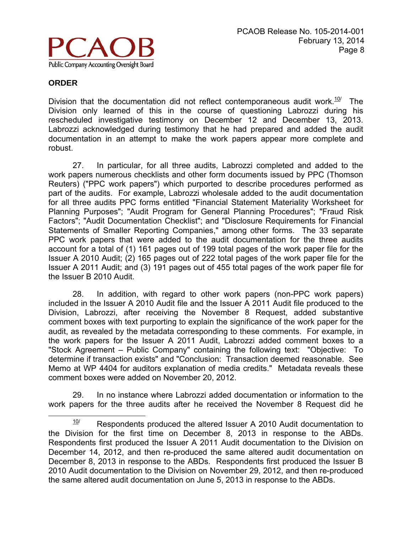

Division that the documentation did not reflect contemporaneous audit work.<sup>10/</sup> The Division only learned of this in the course of questioning Labrozzi during his rescheduled investigative testimony on December 12 and December 13, 2013. Labrozzi acknowledged during testimony that he had prepared and added the audit documentation in an attempt to make the work papers appear more complete and robust.

27. In particular, for all three audits, Labrozzi completed and added to the work papers numerous checklists and other form documents issued by PPC (Thomson Reuters) ("PPC work papers") which purported to describe procedures performed as part of the audits. For example, Labrozzi wholesale added to the audit documentation for all three audits PPC forms entitled "Financial Statement Materiality Worksheet for Planning Purposes"; "Audit Program for General Planning Procedures"; "Fraud Risk Factors"; "Audit Documentation Checklist"; and "Disclosure Requirements for Financial Statements of Smaller Reporting Companies," among other forms. The 33 separate PPC work papers that were added to the audit documentation for the three audits account for a total of (1) 161 pages out of 199 total pages of the work paper file for the Issuer A 2010 Audit; (2) 165 pages out of 222 total pages of the work paper file for the Issuer A 2011 Audit; and (3) 191 pages out of 455 total pages of the work paper file for the Issuer B 2010 Audit.

28. In addition, with regard to other work papers (non-PPC work papers) included in the Issuer A 2010 Audit file and the Issuer A 2011 Audit file produced to the Division, Labrozzi, after receiving the November 8 Request, added substantive comment boxes with text purporting to explain the significance of the work paper for the audit, as revealed by the metadata corresponding to these comments. For example, in the work papers for the Issuer A 2011 Audit, Labrozzi added comment boxes to a "Stock Agreement – Public Company" containing the following text: "Objective: To determine if transaction exists" and "Conclusion: Transaction deemed reasonable. See Memo at WP 4404 for auditors explanation of media credits." Metadata reveals these comment boxes were added on November 20, 2012.

29. In no instance where Labrozzi added documentation or information to the work papers for the three audits after he received the November 8 Request did he

 $10$ <sup> $10$ </sup> Respondents produced the altered Issuer A 2010 Audit documentation to the Division for the first time on December 8, 2013 in response to the ABDs. Respondents first produced the Issuer A 2011 Audit documentation to the Division on December 14, 2012, and then re-produced the same altered audit documentation on December 8, 2013 in response to the ABDs. Respondents first produced the Issuer B 2010 Audit documentation to the Division on November 29, 2012, and then re-produced the same altered audit documentation on June 5, 2013 in response to the ABDs.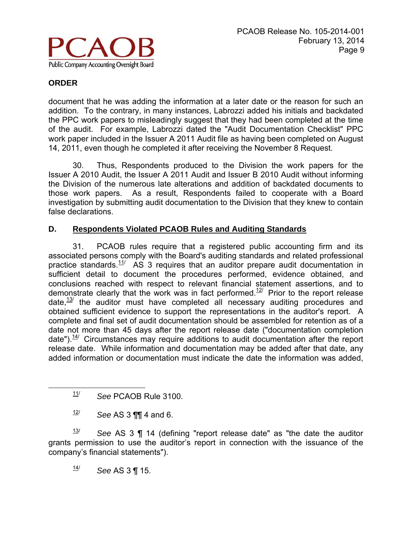

document that he was adding the information at a later date or the reason for such an addition. To the contrary, in many instances, Labrozzi added his initials and backdated the PPC work papers to misleadingly suggest that they had been completed at the time of the audit. For example, Labrozzi dated the "Audit Documentation Checklist" PPC work paper included in the Issuer A 2011 Audit file as having been completed on August 14, 2011, even though he completed it after receiving the November 8 Request.

30. Thus, Respondents produced to the Division the work papers for the Issuer A 2010 Audit, the Issuer A 2011 Audit and Issuer B 2010 Audit without informing the Division of the numerous late alterations and addition of backdated documents to those work papers. As a result, Respondents failed to cooperate with a Board investigation by submitting audit documentation to the Division that they knew to contain false declarations.

## **D. Respondents Violated PCAOB Rules and Auditing Standards**

31. PCAOB rules require that a registered public accounting firm and its associated persons comply with the Board's auditing standards and related professional practice standards.<sup>11/</sup> AS 3 requires that an auditor prepare audit documentation in sufficient detail to document the procedures performed, evidence obtained, and conclusions reached with respect to relevant financial statement assertions, and to demonstrate clearly that the work was in fact performed.<sup>12/</sup> Prior to the report release date, $\frac{13}{}{}$  the auditor must have completed all necessary auditing procedures and obtained sufficient evidence to support the representations in the auditor's report. A complete and final set of audit documentation should be assembled for retention as of a date not more than 45 days after the report release date ("documentation completion date"). $14/$  Circumstances may require additions to audit documentation after the report release date. While information and documentation may be added after that date, any added information or documentation must indicate the date the information was added,

 $\frac{12}{12}$  *See* AS 3 **¶¶** 4 and 6.

13/ *See* AS 3 ¶ 14 (defining "report release date" as "the date the auditor grants permission to use the auditor's report in connection with the issuance of the company's financial statements").

 $\frac{14}{}{}$  See AS 3 ¶ 15.

11/ *See* PCAOB Rule 3100.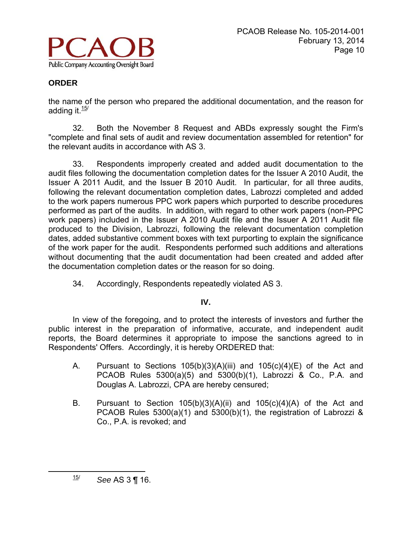

the name of the person who prepared the additional documentation, and the reason for adding it. $\frac{15}{10}$ 

32. Both the November 8 Request and ABDs expressly sought the Firm's "complete and final sets of audit and review documentation assembled for retention" for the relevant audits in accordance with AS 3.

33. Respondents improperly created and added audit documentation to the audit files following the documentation completion dates for the Issuer A 2010 Audit, the Issuer A 2011 Audit, and the Issuer B 2010 Audit. In particular, for all three audits, following the relevant documentation completion dates, Labrozzi completed and added to the work papers numerous PPC work papers which purported to describe procedures performed as part of the audits. In addition, with regard to other work papers (non-PPC work papers) included in the Issuer A 2010 Audit file and the Issuer A 2011 Audit file produced to the Division, Labrozzi, following the relevant documentation completion dates, added substantive comment boxes with text purporting to explain the significance of the work paper for the audit. Respondents performed such additions and alterations without documenting that the audit documentation had been created and added after the documentation completion dates or the reason for so doing.

34. Accordingly, Respondents repeatedly violated AS 3.

#### **IV.**

In view of the foregoing, and to protect the interests of investors and further the public interest in the preparation of informative, accurate, and independent audit reports, the Board determines it appropriate to impose the sanctions agreed to in Respondents' Offers. Accordingly, it is hereby ORDERED that:

- A. Pursuant to Sections  $105(b)(3)(A)(iii)$  and  $105(c)(4)(E)$  of the Act and PCAOB Rules 5300(a)(5) and 5300(b)(1), Labrozzi & Co., P.A. and Douglas A. Labrozzi, CPA are hereby censured;
- B. Pursuant to Section  $105(b)(3)(A)(ii)$  and  $105(c)(4)(A)$  of the Act and PCAOB Rules 5300(a)(1) and 5300(b)(1), the registration of Labrozzi & Co., P.A. is revoked; and

15/ *See* AS 3 ¶ 16.